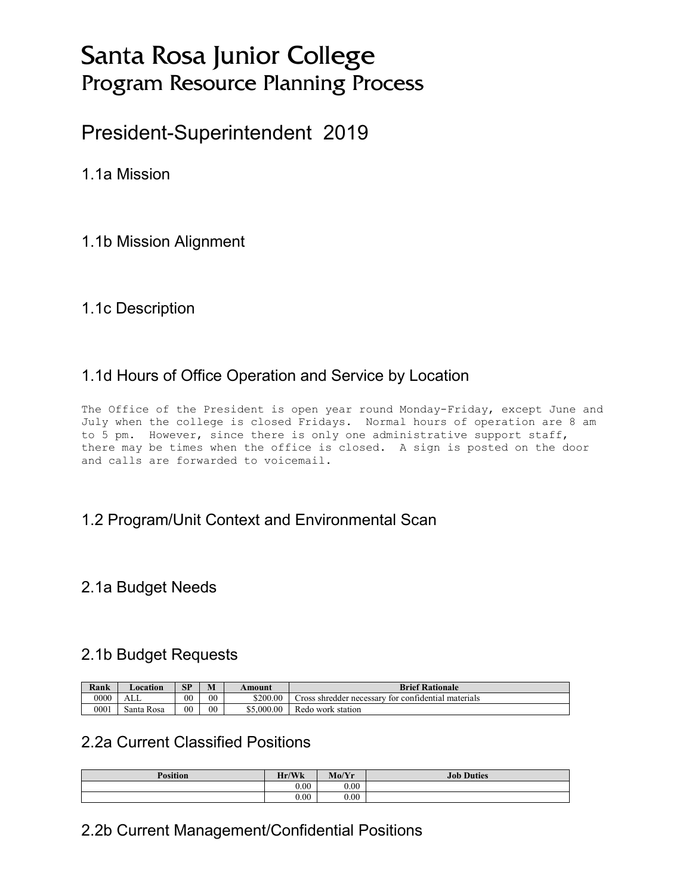# Santa Rosa Junior College Program Resource Planning Process

# President-Superintendent 2019

1.1a Mission

#### 1.1b Mission Alignment

#### 1.1c Description

## 1.1d Hours of Office Operation and Service by Location

The Office of the President is open year round Monday-Friday, except June and July when the college is closed Fridays. Normal hours of operation are 8 am to 5 pm. However, since there is only one administrative support staff, there may be times when the office is closed. A sign is posted on the door and calls are forwarded to voicemail.

#### 1.2 Program/Unit Context and Environmental Scan

#### 2.1a Budget Needs

#### 2.1b Budget Requests

| <b>SP</b><br>M<br>Rank<br><b>Location</b><br>Amount |            |                |    |            | <b>Brief Rationale</b>                              |
|-----------------------------------------------------|------------|----------------|----|------------|-----------------------------------------------------|
| 0000                                                | ALL        | 0 <sup>0</sup> | 00 | \$200.00   | Cross shredder necessary for confidential materials |
| 0001                                                | Santa Rosa | 0 <sup>0</sup> | 00 | \$5,000.00 | Redo work station                                   |

#### 2.2a Current Classified Positions

| <b>Position</b> | Hr/Wk     | Mo/Yr | <b>Job Duties</b> |
|-----------------|-----------|-------|-------------------|
|                 | $_{0.00}$ | 0.00  |                   |
|                 | 0.00      | 0.00  |                   |

#### 2.2b Current Management/Confidential Positions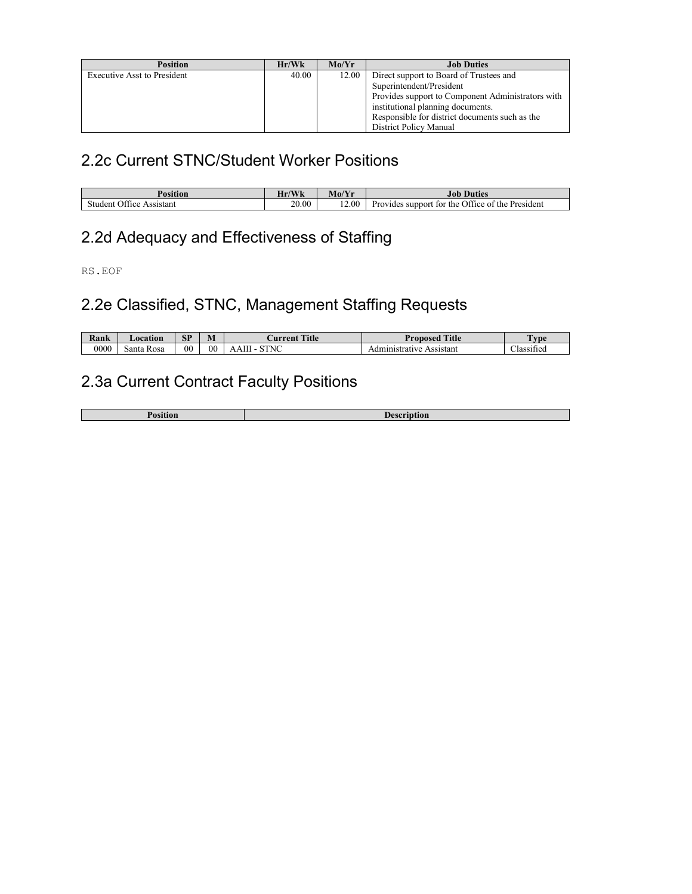| <b>Position</b>                    | Hr/Wk | Mo/Yr | <b>Job Duties</b>                                 |
|------------------------------------|-------|-------|---------------------------------------------------|
| <b>Executive Asst to President</b> | 40.00 | 12.00 | Direct support to Board of Trustees and           |
|                                    |       |       | Superintendent/President                          |
|                                    |       |       | Provides support to Component Administrators with |
|                                    |       |       | institutional planning documents.                 |
|                                    |       |       | Responsible for district documents such as the    |
|                                    |       |       | District Policy Manual                            |

## 2.2c Current STNC/Student Worker Positions

| Position                       | $J$ $\mathbf{X}$ $J$<br>$\mathbf{v}$ | Mo/Y  | Duties<br>Jot.                                              |
|--------------------------------|--------------------------------------|-------|-------------------------------------------------------------|
| Assistant<br>student<br>)ttice | 20.00                                | 12.00 | the Office of the<br>President<br>Provides<br>support for : |

# 2.2d Adequacy and Effectiveness of Staffing

RS.EOF

# 2.2e Classified, STNC, Management Staffing Requests

| Rank | ocation       | <b>SP</b>      | M      | Title<br>urrent | Title<br>Pronosec                                      | l vpe                                    |
|------|---------------|----------------|--------|-----------------|--------------------------------------------------------|------------------------------------------|
| 0000 | Santa<br>Rosa | 0 <sup>0</sup> | $00\,$ | m<br>STNC       | $-1111$<br>Assistant<br>strative<br><b>Αι.</b><br>'VL. | $\cdot$ $\sim$<br>$\sim$ 1<br>∠lassified |

# 2.3a Current Contract Faculty Positions

| . . |
|-----|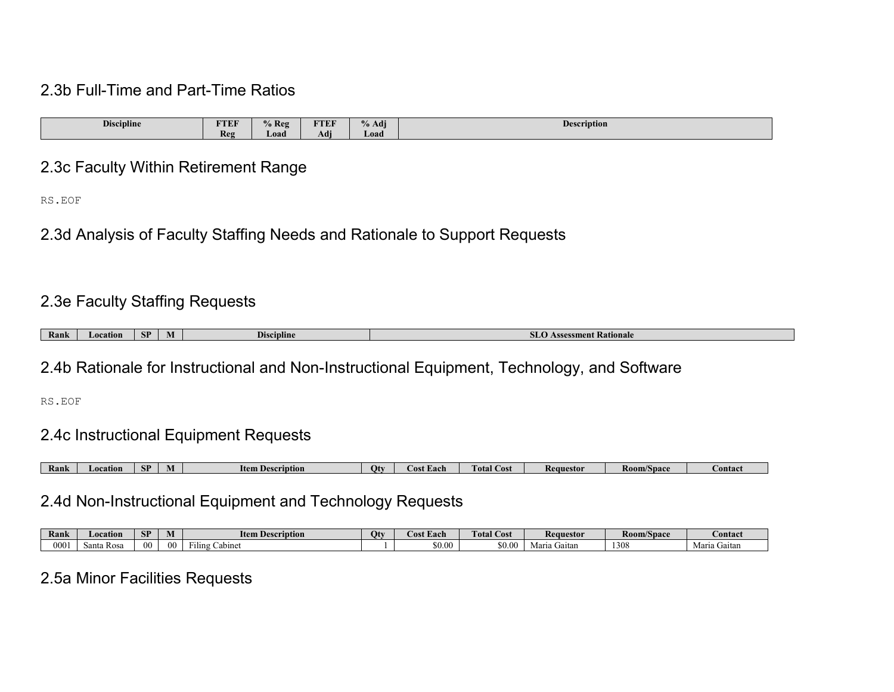#### 2.3b Full-Time and Part-Time Ratios

| $\mathbf{r}$ .<br>$\cdot$ $\cdot$<br>Discipline | <b>FTEF</b> | $\frac{0}{6}$ Reg | <b>TTEF</b>          | $\rightarrow$<br>$\mathbf{a}$<br>% Adi | $\mathbf{r}$<br>Description |
|-------------------------------------------------|-------------|-------------------|----------------------|----------------------------------------|-----------------------------|
|                                                 | <b>Reg</b>  | Load              | $\rightarrow$<br>Adi | Load                                   |                             |

#### 2.3c Faculty Within Retirement Range

RS.EOF

2.3d Analysis of Faculty Staffing Needs and Rationale to Support Requests

## 2.3e Faculty Staffing Requests

| Rank | поп | CD<br>эг | - -<br><b><i><u>Priscipline</u></i></b> | sment Rationale |
|------|-----|----------|-----------------------------------------|-----------------|

#### 2.4b Rationale for Instructional and Non-Instructional Equipment, Technology, and Software

RS.EOF

## 2.4c Instructional Equipment Requests

| Rank | catior | ND.<br>- 1 | IV | Item<br>scription | Otv | -ach<br>$\cdots$ | otal<br>ost | Requestor | <b>Room/Space</b> | <b>⊅ontac</b> |
|------|--------|------------|----|-------------------|-----|------------------|-------------|-----------|-------------------|---------------|

## 2.4d Non-Instructional Equipment and Technology Requests

| Rank    | Location           | CD<br>Эľ | <b>N</b><br>IVI | ltem<br>ı Description        | и | . Each<br>. | <b>CONTRACTOR</b><br>$\mathbf{r}$<br>  Cost<br>Fotal | Rea<br>nuestor  | <b>Room/Space</b> | <b>contact</b>  |
|---------|--------------------|----------|-----------------|------------------------------|---|-------------|------------------------------------------------------|-----------------|-------------------|-----------------|
| $000\,$ | <b>Ros</b><br>anta | -00      | $\Omega$        | ---<br>-<br>Cabine<br>F1ling |   | \$0.00      | \$0.00                                               | jaitan<br>Maria | 1308              | Gaitan<br>Marıa |

## 2.5a Minor Facilities Requests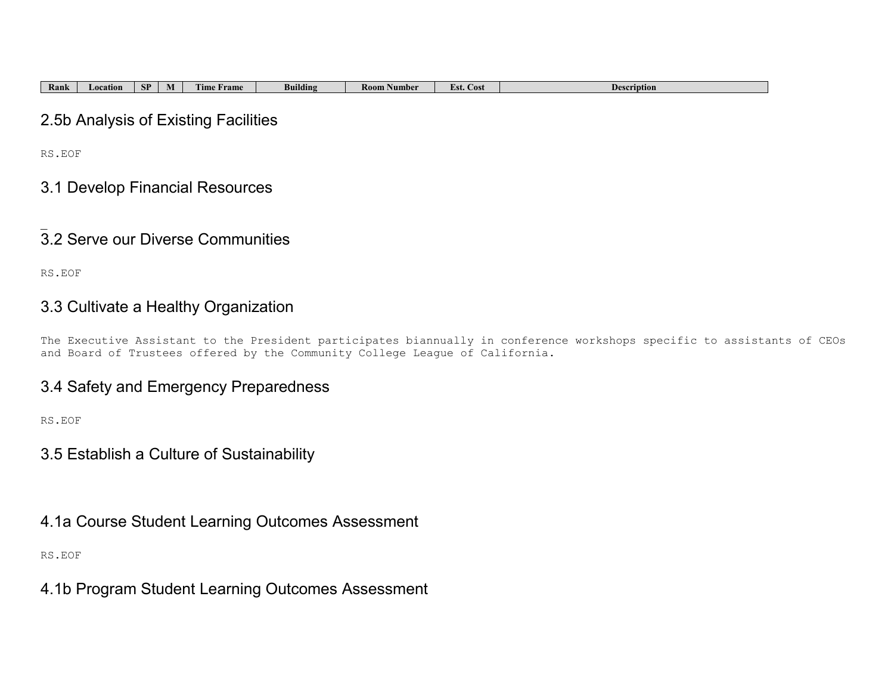| <b>Rank</b> | Location | CD<br>$\mathbf{C}$ | IV. | --<br>l'ime<br>Frame | $\cdots$<br>Building | Number<br><b>Room</b> f | --<br>Est.<br>Cost | <b>Description</b> |
|-------------|----------|--------------------|-----|----------------------|----------------------|-------------------------|--------------------|--------------------|

#### 2.5b Analysis of Existing Facilities

RS.EOF

#### 3.1 Develop Financial Resources

#### $\overline{\phantom{a}}$ 3.2 Serve our Diverse Communities

RS.EOF

#### 3.3 Cultivate a Healthy Organization

The Executive Assistant to the President participates biannually in conference workshops specific to assistants of CEOs and Board of Trustees offered by the Community College League of California.

#### 3.4 Safety and Emergency Preparedness

RS.EOF

#### 3.5 Establish a Culture of Sustainability

4.1a Course Student Learning Outcomes Assessment

RS.EOF

4.1b Program Student Learning Outcomes Assessment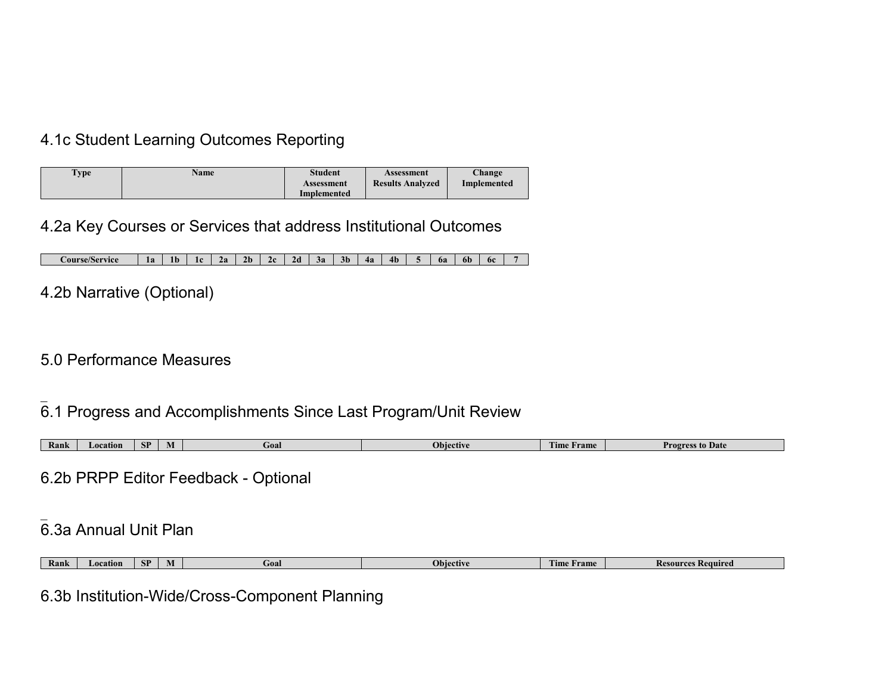## 4.1c Student Learning Outcomes Reporting

| <b>Type</b> | <b>Name</b> | <b>Student</b><br>Assessment<br>Implemented | Assessment<br><b>Results Analyzed</b> | Change<br>Implemented |
|-------------|-------------|---------------------------------------------|---------------------------------------|-----------------------|
|-------------|-------------|---------------------------------------------|---------------------------------------|-----------------------|

## 4.2a Key Courses or Services that address Institutional Outcomes

| <i>C</i> ourse/Service | ு<br>πа | 1 L | . .<br>. . | , n<br>40 | ว⊾<br>. . | ,, | 20 | эa | 3Þ | 4a | 4 <sub>b</sub> | bа | on | - 6c |  |
|------------------------|---------|-----|------------|-----------|-----------|----|----|----|----|----|----------------|----|----|------|--|

# 4.2b Narrative (Optional)

## 5.0 Performance Measures

# 6.1 Progress and Accomplishments Since Last Program/Unit Review

| Rank | Location | cт<br><b>A</b> | nn I<br>GOAL | ≏tive | <b>CONTINUES</b><br><b>Tame</b><br><b>Ime</b> | ™rov.<br><i>s</i> Date |
|------|----------|----------------|--------------|-------|-----------------------------------------------|------------------------|

6.2b PRPP Editor Feedback - Optional

#### $\overline{\phantom{a}}$ 6.3a Annual Unit Plan

| Rank | ation.<br>-4007 | CD<br>OГ | Goal | rtive<br>Obie | <b>CONTRACTOR</b><br><b>rame</b><br><sub>1</sub> me | tequired<br>⋯ |
|------|-----------------|----------|------|---------------|-----------------------------------------------------|---------------|

6.3b Institution-Wide/Cross-Component Planning